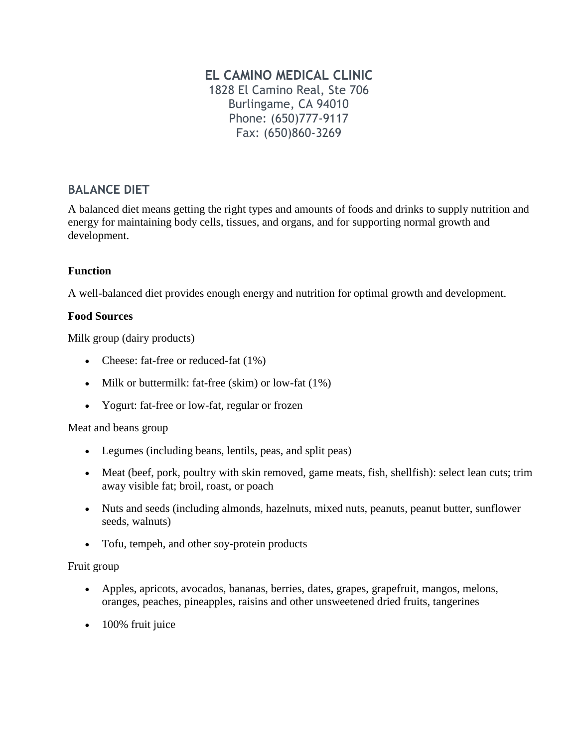# **EL CAMINO MEDICAL CLINIC**

1828 El Camino Real, Ste 706 Burlingame, CA 94010 Phone: (650)777-9117 Fax: (650)860-3269

# **BALANCE DIET**

A balanced diet means getting the right types and amounts of foods and drinks to supply nutrition and energy for maintaining body cells, tissues, and organs, and for supporting normal growth and development.

## **Function**

A well-balanced diet provides enough energy and nutrition for optimal growth and development.

# **Food Sources**

Milk group (dairy products)

- Cheese: fat-free or reduced-fat  $(1\%)$
- $\bullet$  Milk or buttermilk: fat-free (skim) or low-fat (1%)
- Yogurt: fat-free or low-fat, regular or frozen

## Meat and beans group

- Legumes (including beans, lentils, peas, and split peas)
- Meat (beef, pork, poultry with skin removed, game meats, fish, shellfish): select lean cuts; trim away visible fat; broil, roast, or poach
- Nuts and seeds (including almonds, hazelnuts, mixed nuts, peanuts, peanut butter, sunflower seeds, walnuts)
- Tofu, tempeh, and other soy-protein products

## Fruit group

- Apples, apricots, avocados, bananas, berries, dates, grapes, grapefruit, mangos, melons, oranges, peaches, pineapples, raisins and other unsweetened dried fruits, tangerines
- 100% fruit juice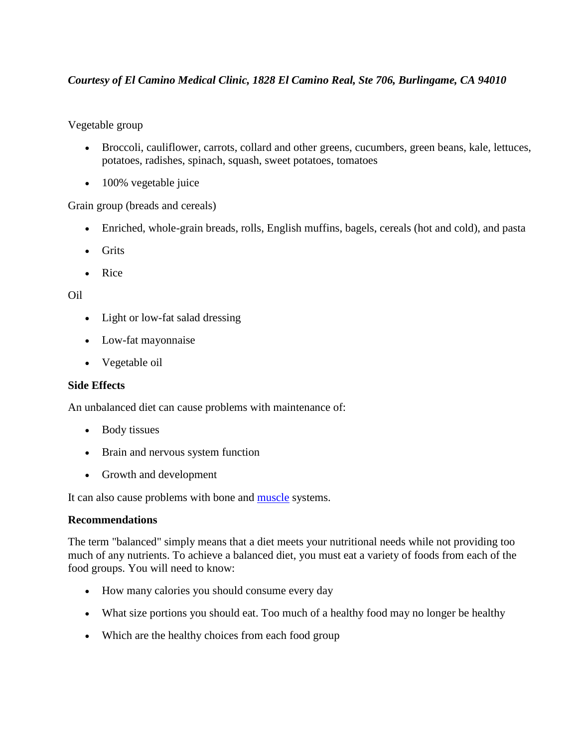# *Courtesy of El Camino Medical Clinic, 1828 El Camino Real, Ste 706, Burlingame, CA 94010*

Vegetable group

- Broccoli, cauliflower, carrots, collard and other greens, cucumbers, green beans, kale, lettuces, potatoes, radishes, spinach, squash, sweet potatoes, tomatoes
- 100% vegetable juice

Grain group (breads and cereals)

- Enriched, whole-grain breads, rolls, English muffins, bagels, cereals (hot and cold), and pasta
- Grits
- Rice

## Oil

- Light or low-fat salad dressing
- Low-fat mayonnaise
- Vegetable oil

## **Side Effects**

An unbalanced diet can cause problems with maintenance of:

- Body tissues
- Brain and nervous system function
- Growth and development

It can also cause problems with bone and [muscle](http://www.nlm.nih.gov/medlineplus/ency/article/003193.htm) systems.

## **Recommendations**

The term "balanced" simply means that a diet meets your nutritional needs while not providing too much of any nutrients. To achieve a balanced diet, you must eat a variety of foods from each of the food groups. You will need to know:

- How many calories you should consume every day
- What size portions you should eat. Too much of a healthy food may no longer be healthy
- Which are the healthy choices from each food group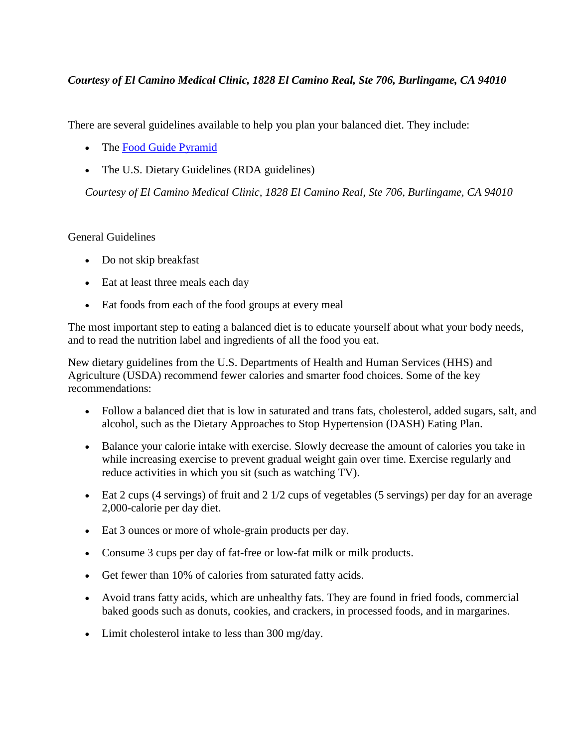# *Courtesy of El Camino Medical Clinic, 1828 El Camino Real, Ste 706, Burlingame, CA 94010*

There are several guidelines available to help you plan your balanced diet. They include:

- The [Food Guide Pyramid](http://www.nlm.nih.gov/medlineplus/ency/article/002093.htm)
- The U.S. Dietary Guidelines (RDA guidelines)

*Courtesy of El Camino Medical Clinic, 1828 El Camino Real, Ste 706, Burlingame, CA 94010*

## General Guidelines

- Do not skip breakfast
- Eat at least three meals each day
- Eat foods from each of the food groups at every meal

The most important step to eating a balanced diet is to educate yourself about what your body needs, and to read the nutrition label and ingredients of all the food you eat.

New dietary guidelines from the U.S. Departments of Health and Human Services (HHS) and Agriculture (USDA) recommend fewer calories and smarter food choices. Some of the key recommendations:

- Follow a balanced diet that is low in saturated and trans fats, cholesterol, added sugars, salt, and alcohol, such as the Dietary Approaches to Stop Hypertension (DASH) Eating Plan.
- Balance your calorie intake with exercise. Slowly decrease the amount of calories you take in while increasing exercise to prevent gradual weight gain over time. Exercise regularly and reduce activities in which you sit (such as watching TV).
- Eat 2 cups (4 servings) of fruit and  $2 \frac{1}{2}$  cups of vegetables (5 servings) per day for an average 2,000-calorie per day diet.
- Eat 3 ounces or more of whole-grain products per day.
- Consume 3 cups per day of fat-free or low-fat milk or milk products.
- Get fewer than 10% of calories from saturated fatty acids.
- Avoid trans fatty acids, which are unhealthy fats. They are found in fried foods, commercial baked goods such as donuts, cookies, and crackers, in processed foods, and in margarines.
- Limit cholesterol intake to less than 300 mg/day.